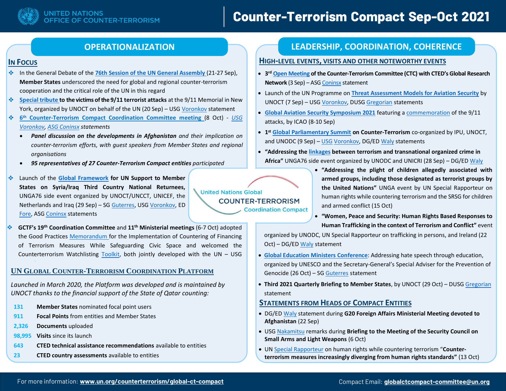# **Counter-Terrorism Compact Sep-Oct 2021**

## **INFOCUS**

- In the General Debate of the **[76th Session of the UN General Assembly](https://www.un.org/en/ga/76/meetings/)** (21-27 Sep), **Member States** underscored the need for global and regional counter-terrorism cooperation and the critical role of the UN in this regard
- 幸 **[Special tribute t](https://www.un.org/counterterrorism/events/un-pays-tribute-to-victims-911-terrorist-attacks)o the victims of the 9/11 terrorist attacks** at the 9/11 Memorial in New York, organized by UNOCT on behalf of the UN (20 Sep) – US[G Voronkov](https://www.un.org/counterterrorism/sites/www.un.org.counterterrorism/files/20210920_usg_remarks_911_commemoration.pdf) statement
- $\mathcal{L}_{\mathcal{S}}^{\mathcal{S}_{\mathcal{S}}}$  . **6 th Counter-Terrorism Compact Coordination Committee meeting** (8 Oct) - *[USG](https://www.un.org/counterterrorism/sites/www.un.org.counterterrorism/files/211008_usg_voronkov_statement_sixth_ct_compact_coordination_committee_mtg.pdf)  [Voronkov,](https://www.un.org/counterterrorism/sites/www.un.org.counterterrorism/files/211008_usg_voronkov_statement_sixth_ct_compact_coordination_committee_mtg.pdf) [ASG Coninsx](https://www.un.org/securitycouncil/ctc/sites/www.un.org.securitycouncil.ctc/files/5._asg_coninsx_remarks_un_global_compact_meeting_afghanistan.pdf) statements*
	- *Panel discussion on the developments in Afghanistan and their implication on counter-terrorism efforts, with guest speakers from Member States and regional organisations*
	- *95 representatives of 27 Counter-Terrorism Compact entities participated*
- Launch of the **[Global Framework](https://www.un.org/counterterrorism/events/launch-global-framework-united-nations-support-syria-iraq-third-country-national-returnees) for UN Support to Member**  ❖ **States on Syria/Iraq Third Country National Returnees,**  UNGA76 side event organized by UNOCT/UNCCT, UNICEF, the Netherlands and Iraq (29 Sep) – SG [Guterres,](https://www.un.org/sg/en/node/259781) USG [Voronkov,](https://www.un.org/counterterrorism/sites/www.un.org.counterterrorism/files/210929_usg_remarks_gf_launch.pdf) ED [Fore,](https://www.unicef.org/press-releases/remarks-unicef-executive-director-henrietta-fore-launch-global-framework-united) ASG [Coninsx](https://www.un.org/securitycouncil/ctc/sites/www.un.org.securitycouncil.ctc/files/1._asg_coninsx_statement_global_framework_launch_20210929.pdf) statements
- **GCTF's 19th Coordination Committee** and **11th Ministerial meetings** (6-7 Oct) adopted the Good Practices [Memorandum](https://www.thegctf.org/Portals/1/Documents/Links/Meetings/2021/19CC11MM/CFT%20GP%20Memo/CFT%20Memo_ENG.pdf?ver=fahs72ucLyyYOTj7WDwBkQ%3d%3d) for the Implementation of Countering of Financing of Terrorism Measures While Safeguarding Civic Space and welcomed the Counterterrorism Watchlisting [Toolkit,](https://www.thegctf.org/Portals/1/Documents/Links/Meetings/2021/19CC11MM/WatchlistingToolkit/WatchlistingToolkit.pdf?ver=eKJfi0XK8shisXg81ugekg%3d%3d) both jointly developed with the UN – USG

# **UN GLOBAL COUNTER-TERRORISM COORDINATION P[LATFORM](https://www.un.org/counterterrorism/CTcoordinationplatform)**

*Launched in March 2020, the Platform was developed and is maintained by UNOCT thanks to the financial support of the State of Qatar counting:*

- **131 Member States** nominated focal point users
- **911 Focal Points** from entities and Member States
- **2,326 Documents** uploaded
- **98,995 Visits** since its launch
- **643 CTED technical assistance recommendations** available to entities
- **23 CTED country assessments** available to entities

**United Nations Global COUNTER-TERRORISM Coordination Compact** 

•

statement

# **OPERATIONALIZATION LEADERSHIP, COORDINATION, COHERENCE**

#### **HIGH-LEVEL EVENTS, VISITS AND OTHER NOTEWORTHY EVENTS**

- **3 rd [Open Meeting](https://www.un.org/securitycouncil/ctc/news/ctc-grn-open-meeting-reflects-past-twenty-years-counter-terrorism-and-highlights-key-future) of the Counter-Terrorism Committee (CTC) with CTED's Global Research Network** (3 Sep) – AS[G Coninsx](https://www.un.org/securitycouncil/ctc/sites/www.un.org.securitycouncil.ctc/files/1._asged_opening_statement_ctc-grn24.pdf) statement
- Launch of the UN Programme on **[Threat Assessment Models](https://www.un.org/counterterrorism/events/virtual-launch-event-united-nations-programme-threat-assessment-models-tam-programme) for Aviation Security** by UNOCT (7 Sep) – USG [Voronkov,](https://www.un.org/counterterrorism/sites/www.un.org.counterterrorism/files/20210907_openingremarks_usgvoronkov_launchtamprogramme.pdf) DUS[G Gregorian](https://www.un.org/counterterrorism/sites/www.un.org.counterterrorism/files/21020907_tam_launch_closing_remarks_gregorian.pdf) statements
- **[Global Aviation Security Symposium 2021](https://www.icao.int/Meetings/AVSEC2021/Pages/default.aspx)** featuring a [commemoration](https://www.icao.int/Meetings/AVSEC2021/Pages/Commemoration-911-attacks.aspx) of the 9/11 attacks, by ICAO (8-10 Sep)
- **1 st [Global Parliamentary Summit](https://www.un.org/counterterrorism/sites/www.un.org.counterterrorism/files/20210909_jointpress_release_parliamantarysummitcounter_terrorism.pdf) on Counter-Terrorism** co-organized by IPU, UNOCT, and UNODC (9 Sep) - [USG](https://www.un.org/counterterrorism/sites/www.un.org.counterterrorism/files/20210909_jointpress_release_parliamantarysummitcounter_terrorism.pdf) [Voronkov,](https://www.un.org/counterterrorism/sites/www.un.org.counterterrorism/files/20210909_usg_voronkov_opening_speech_parliamsummit_as_delivered.pdf) DG/E[D Waly](https://www.unodc.org/unodc/en/speeches/2021/ctparliaments-090921.html) statements
- **"Addressing th[e linkages](http://www.unicri.it/index.php/News/Nexus-Terrorism-OrganizedCrime-UNGA76) between terrorism and transnational organized crime in Africa"** UNGA76 side event organized by UNODC and UNICRI (28 Sep) – DG/E[D Waly](https://www.unodc.org/unodc/en/speeches/2021/ungatocterrorismafrica-092821.html)
	- **"Addressing the plight of children allegedly associated with armed groups, including those designated as terrorist groups by the United Nations"** UNGA event by UN Special Rapporteur on human rights while countering terrorism and the SRSG for children and armed conflict (15 Oct)
	- **"Women, Peace and Security: Human Rights Based Responses to Human Trafficking in the context of Terrorism and Conflict"** event

organized by UNODC, UN Special Rapporteur on trafficking in persons, and Ireland (22 Oct) – DG/ED [Waly](https://www.unodc.org/unodc/en/speeches/2021/wps-221021.html) statement

- **[Global Education Ministers Conference](https://en.unesco.org/news/addressing-hate-speech-through-education-global-education-ministers-conference)**: Addressing hate speech through education, organized by UNESCO and the Secretary-General's Special Adviser for the Prevention of Genocide (26 Oct) – SG [Guterres](https://www.un.org/sg/en/node/260312) statement
- **Third 2021 Quarterly Briefing to Member States**, by UNOCT (29 Oct) DUS[G Gregorian](https://www.un.org/counterterrorism/sites/www.un.org.counterterrorism/files/211029_dusg_remarks_third_quarterly_briefing_to_member_states.pdf) statement

# **STATEMENTS FROM HEADS OF COMPACT ENTITIES**

- DG/E[D Waly](https://www.unodc.org/unodc/en/speeches/2021/g20-220921.html) statement during **G20 Foreign Affairs Ministerial Meeting devoted to Afghanistan** (22 Sep)
- US[G Nakamitsu](https://front.un-arm.org/wp-content/uploads/2021/10/HRs-remarks-SALW-UNSC-4.pdf) remarks during **Briefing to the Meeting of the Security Council on Small Arms and Light Weapons** (6 Oct)
- UN [Special Rapporteur](https://www.ohchr.org/EN/NewsEvents/Pages/DisplayNews.aspx?NewsID=27653&LangID=E) on human rights while countering terrorism "**Counterterrorism measures increasingly diverging from human rights standards"** (13 Oct)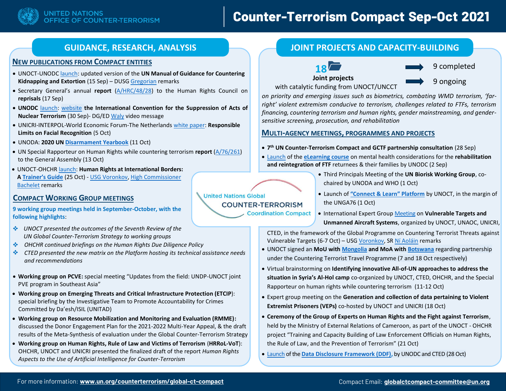

# **Counter-Terrorism Compact Sep-Oct 2021**

#### **NEW PUBLICATIONS FROM COMPACT ENTITIES**

- UNOCT-UNOD[C launch:](https://www.un.org/counterterrorism/events/launch-UN-manual-guidance-countering-kidnapping-and-extortion) updated version of the **UN Manual of Guidance for Countering Kidnapping and Extortion** (15 Sep) – DUS[G Gregorian](https://www.un.org/counterterrorism/sites/www.un.org.counterterrorism/files/210915_dusg_remarks_kfr_manual_launch.pdf) remarks
- Secretary General's annual **report** [\(A/HRC/48/28\)](https://www.ohchr.org/EN/HRBodies/HRC/RegularSessions/Session48/Documents/A_HRC_48_28_AUV_EN.docx) to the Human Rights Council on **reprisals** (17 Sep)
- **UNODC** [launch:](https://www.unodc.org/unodc/en/terrorism/latest-news/2021_unodc-launches-new-website-on-the-international-convention-for-the-suppression-of-acts-of-nuclear-terrorism-icsant.html) [website](https://www.unodc.org/icsant/) **the International Convention for the Suppression of Acts of Nuclear Terrorism** (30 Sep)- DG/ED [Waly](https://www.unodc.org/icsant/en/icsant-flyer.html) video message
- UNICRI-INTERPOL-World Economic Forum-The Netherland[s white paper:](http://213.254.5.198/sites/default/files/2021-10/A%20Policy%20Framework%20for%20Responsible%20Limits%20on%20Facial%20Recognition%20.pdf) **Responsible Limits on Facial Recognition** (5 Oct)
- UNODA: **2020 U[N Disarmament Yearbook](https://yearbook.unoda.org/2020/)** (11 Oct)
- UN Special Rapporteur on Human Rights while countering terrorism **report** [\(A/76/261\)](https://undocs.org/A/76/261) to the General Assembly (13 Oct)
- UNOCT-OHCHR [launch:](https://www.un.org/counterterrorism/events/launch-event-human-rights-international-borders-trainers-guide) **Human Rights at International Borders: A [Trainer's Guide](https://www.un.org/counterterrorism/sites/www.un.org.counterterrorism/files/hr_internationalborders.pdf)** (25 Oct) - [USG Voronkov,](https://www.un.org/counterterrorism/sites/www.un.org.counterterrorism/files/211025_usg_voronkov_remarks_launch_of_hr_at_intl_borders.pdf) [High Commissioner](https://www.ohchr.org/EN/NewsEvents/Pages/DisplayNews.aspx?NewsID=27698&LangID=E)  [Bachelet](https://www.ohchr.org/EN/NewsEvents/Pages/DisplayNews.aspx?NewsID=27698&LangID=E) remarks

### **COMPACT WORKING GROUP MEETINGS**

**9 working group meetings held in September-October, with the following highlights**:

- *UNOCT presented the outcomes of the Seventh Review of the UN Global Counter-Terrorism Strategy to working groups*
- 樂 *OHCHR continued briefings on the Human Rights Due Diligence Policy*
- **Section** *CTED presented the new matrix on the Platform hosting its technical assistance needs and recommendations*
- **Working group on PCVE:** special meeting "Updates from the field: UNDP-UNOCT joint PVE program in Southeast Asia"
- **Working group on Emerging Threats and Critical Infrastructure Protection (ETCIP**): special briefing by the Investigative Team to Promote Accountability for Crimes Committed by Da'esh/ISIL (UNITAD)
- **Working group on Resource Mobilization and Monitoring and Evaluation (RMME):** discussed the Donor Engagement Plan for the 2021-2022 Multi-Year Appeal, & the draft results of the Meta-Synthesis of evaluation under the Global Counter-Terrorism Strategy
- **Working group on Human Rights, Rule of Law and Victims of Terrorism** (**HRRoL-VoT**): OHCHR, UNOCT and UNICRI presented the finalized draft of the report *Human Rights Aspects to the Use of Artificial Intelligence for Counter-Terrorism*

## **GUIDANCE, RESEARCH, ANALYSIS JOINT PROJECTS AND CAPACITY-BUILDING**





9 completed

**Joint projects**

9 ongoing

with catalytic funding from UNOCT/UNCCT

*on priority and emerging issues such as biometrics, combating WMD terrorism, 'farright' violent extremism conducive to terrorism, challenges related to FTFs, terrorism financing, countering terrorism and human rights, gender mainstreaming, and gendersensitive screening, prosecution, and rehabilitation* 

#### **MULTI-AGENCY MEETINGS, PROGRAMMES AND PROJECTS**

- **7 th UN Counter-Terrorism Compact and GCTF partnership consultation** (28 Sep)
- [Launch](https://www.unodc.org/unodc/en/terrorism/latest-news/2021_unodc-launches-new-tool-on-mental-health-considerations-for-the-rehabilitation-and-reintegration-of-foreign-terrorist-fighter-returnees-and-their-families.html) of the **[eLearning course](https://golearn.unodc.org/lms/login/index.php)** on mental health considerations for the **rehabilitation and reintegration of FTF** returnees & their families by UNODC (2 Sep)
	- Third Principals Meeting of the **UN Biorisk Working Group**, cochaired by UNODA and WHO (1 Oct)
	- Launch of **["Connect & Learn" Platform](https://www.un.org/counterterrorism/events/launch-of-unoct-connect-and-learn-platform)** by UNOCT, in the margin of the UNGA76 (1 Oct)
	- International Expert Group [Meeting](https://www.un.org/counterterrorism/node/18699) on **Vulnerable Targets and Unmanned Aircraft Systems**, organized by UNOCT, UNAOC, UNICRI,

CTED, in the framework of the Global Programme on Countering Terrorist Threats against Vulnerable Targets (6-7 Oct) – US[G Voronkov,](https://www.un.org/counterterrorism/sites/www.un.org.counterterrorism/files/211006_usg_opening_remarks-egm_vulnerable_targets_and_uas.pdf) SR [Ní Aoláin](https://www.un.org/counterterrorism/sites/www.un.org.counterterrorism/files/remarks_of_the_un_sr_ct_hr_at_the_egm_vulnerable_targets_and_uas.pdf) remarks

- UNOCT signed an **MoU with [Mongolia](https://www.un.org/counterterrorism/sites/www.un.org.counterterrorism/files/20211007_mongolia_mou_signing_ceremony_press_release_final.pdf) and MoA with [Botswana](https://www.un.org/counterterrorism/sites/www.un.org.counterterrorism/files/20211018_usgvoronkov_statement_botswanamoasigningceremony_cttravel.pdf)** regarding partnership under the Countering Terrorist Travel Programme (7 and 18 Oct respectively)
- Virtual brainstorming on **Identifying innovative All-of-UN approaches to address the situation in Syria's Al-Hol camp** co-organized by UNOCT, CTED, OHCHR, and the Special Rapporteur on human rights while countering terrorism (11-12 Oct)
- Expert group meeting on the **Generation and collection of data pertaining to Violent Extremist Prisoners (VEPs)** co-hosted by UNOCT and UNICRI (18 Oct)
- **Ceremony of the Group of Experts on Human Rights and the Fight against Terrorism**, held by the Ministry of External Relations of Cameroon, as part of the UNOCT - OHCHR project "Training and Capacity Building of Law Enforcement Officials on Human Rights, the Rule of Law, and the Prevention of Terrorism" (21 Oct)
- [Launch](https://www.un.org/securitycouncil/ctc/news/data-disclosure-framework-ddf-unique-road-map-developed-help-tech-companies-respond-requests) of the **[Data Disclosure Framework \(DDF\),](https://sherloc.unodc.org/cld/en/st/evidence/ddf.html)** by UNODC and CTED (28 Oct)

**United Nations Global COUNTER-TERRORISM Coordination Compact** 

•